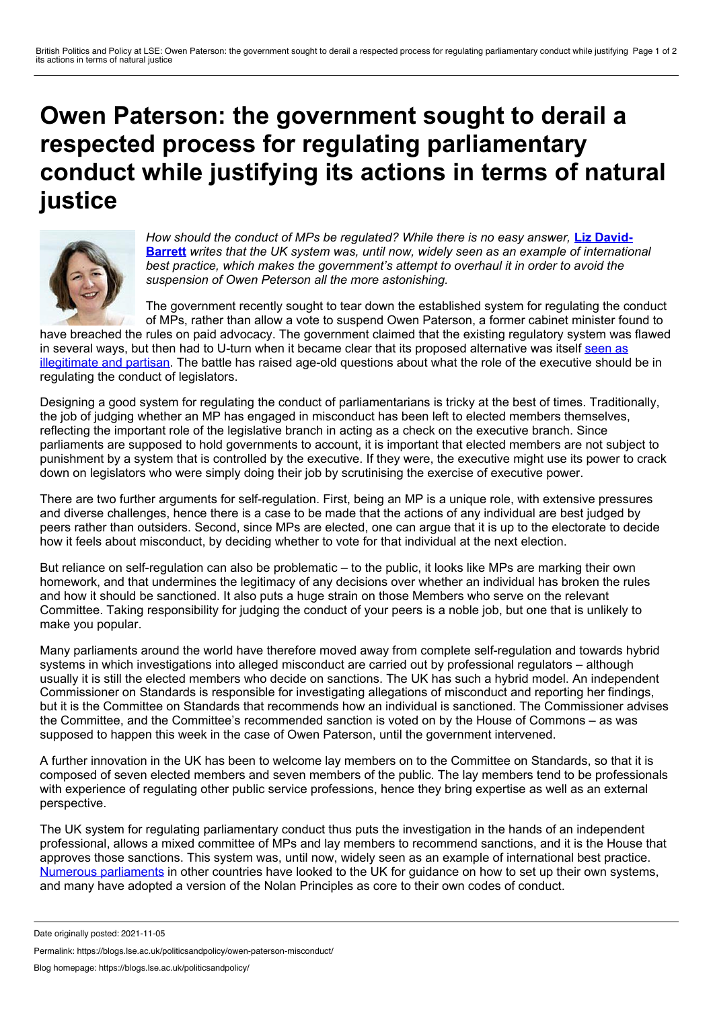## <span id="page-0-0"></span>**Owen Paterson: the government sought to derail a respected process for regulating parliamentary conduct while justifying its actions in terms of natural justice**



*How should the conduct of MPs be [regulated?](#page-0-0) While there is no easy answer,* **Liz David- Barrett** *writes that the UK system was, until now, widely seen as an example of international best practice, which makes the government's attempt to overhaul it in order to avoid the suspension of Owen Peterson all the more astonishing.*

The government recently sought to tear down the established system for regulating the conduct of MPs, rather than allow a vote to suspend Owen Paterson, a former cabinet minister found to

have breached the rules on paid advocacy. The government claimed that the existing regulatory system was flawed in several ways, but then had to U-turn when itbecame clear that its proposed alternative was itself seen as [illegitimate](https://theconversation.com/owen-paterson-saga-sees-government-integrity-called-into-question-171154) and partisan. The battle has raised age-old questions about what the role of the executive should be in regulating the conduct of legislators.

Designing a good system for regulating the conduct of parliamentarians is tricky at the best of times. Traditionally, the job of judging whether an MP has engaged in misconduct has been left to elected members themselves, reflecting the important role of the legislative branch in acting as a check on the executive branch. Since parliaments are supposed to hold governments to account, it is important that elected members are not subject to punishment by a system that is controlled by the executive. If they were, the executive might use its power to crack down on legislators who were simply doing their job by scrutinising the exercise of executive power.

There are two further arguments for self-regulation. First, being an MP is a unique role, with extensive pressures and diverse challenges, hence there is a case to be made that the actions of any individual are best judged by peers rather than outsiders. Second, since MPs are elected, one can argue that it is up to the electorate to decide how it feels about misconduct, by deciding whether to vote for that individual at the next election.

But reliance on self-regulation can also be problematic – to the public, it looks like MPs are marking their own homework, and that undermines the legitimacy of any decisions over whether an individual has broken the rules and how it should be sanctioned. It also puts a huge strain on those Members who serve on the relevant Committee. Taking responsibility for judging the conduct of your peers is a noble job, but one that is unlikely to make you popular.

Many parliaments around the world have therefore moved away from complete self-regulation and towards hybrid systems in which investigations into alleged misconduct are carried out by professional regulators – although usually it is still the elected members who decide on sanctions. The UK has such a hybrid model. An independent Commissioner on Standards is responsible for investigating allegations of misconduct and reporting her findings, but it is the Committee on Standards that recommends how an individual is sanctioned. The Commissioner advises the Committee, and the Committee's recommended sanction is voted on by the House of Commons – as was supposed to happen this week in the case of Owen Paterson, until the government intervened.

A further innovation in the UK has been to welcome lay members on to the Committee on Standards, so that it is composed of seven elected members and seven members of the public. The lay members tend to be professionals with experience of regulating other public service professions, hence they bring expertise as well as an external perspective.

The UK system for regulating parliamentary conduct thus puts the investigation in the hands of an independent professional, allows a mixed committee of MPs and lay members to recommend sanctions, and it is the House that approves those sanctions. This system was, until now, widely seen as an example of international best practice. Numerous [parliaments](https://academic.oup.com/pa/article-abstract/68/3/514/1532203) in other countries have looked to the UK for guidance on how to set up their own systems, and many have adopted a version of the Nolan Principles as core to their own codes of conduct.

Permalink: https://blogs.lse.ac.uk/politicsandpolicy/owen-paterson-misconduct/

Date originally posted: 2021-11-05